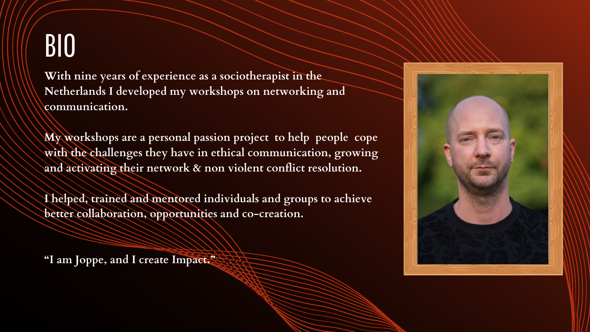**With nine years of experience as a sociotherapist in the Netherlands I developed my workshops on networking and communication.**

**My workshops are a personal passion project to help people cope with the challenges they have in ethical communication, growing and activating their network & non violent conflict resolution.**

**I helped, trained and mentored individuals and groups to achieve better collaboration, opportunities and co-creation.**

**"I am Joppe, and I create Impact."**



## BIO